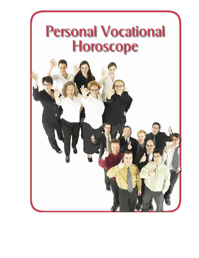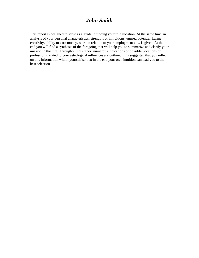# *John Smith*

This report is designed to serve as a guide in finding your true vocation. At the same time an analysis of your personal characteristics, strengths or inhibitions, unused potential, karma, creativity, ability to earn money, work in relation to your employment etc., is given. At the end you will find a synthesis of the foregoing that will help you to summarize and clarify your mission in this life. Throughout this report numerous indications of possible vocations or professions related to your astrological influences are outlined. It is suggested that you reflect on this information within yourself so that in the end your own intuition can lead you to the best selection.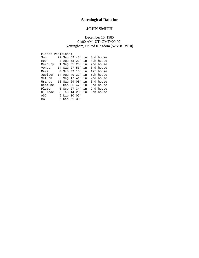# **Astrological Data for**

# **JOHN SMITH**

### December 15, 1985 01:00 AM [UT=GMT+00:00] Nottingham, United Kingdom [52N58 1W10]

| Planet Positions: |              |  |               |    |           |
|-------------------|--------------|--|---------------|----|-----------|
| Sun               |              |  | 22 Sag 59'43" | in | 3rd house |
| Moon              | 3            |  | Agu 58'21"    | in | 4th house |
| Mercury           | $\mathbf{1}$ |  | Sag 51'25"    | in | 2nd house |
| Venus             |              |  | 14 Sag 27'53" | in | 3rd house |
| Mars              | 0            |  | Sco 09'15"    | in | 1st house |
| Jupiter           | 14           |  | Aqu 49'32"    | in | 5th house |
| Saturn            |              |  | 3 Sag 17'41"  | in | 2nd house |
| Uranus            |              |  | 18 Sag 29'08" | in | 3rd house |
| Neptune           |              |  | 2 Cap 56'47"  | in | 3rd house |
| Pluto             | б.           |  | Sco 27'34"    | in | 2nd house |
| N. Node           | 8            |  | Tau 14'23"    | in | 8th house |
| ASC               |              |  | 5 Lib 10'07"  |    |           |
| MC                | 6            |  | Can 51'30"    |    |           |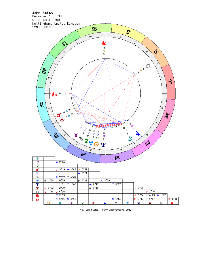

(c) Copyright, Astro Interactive Ltd.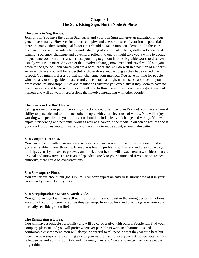# **Chapter 1 The Sun, Rising Sign, North Node & Pluto**

#### **The Sun is in Sagittarius.**

John Smith. You have the Sun in Sagittarius and your Sun Sign will give an indication of your general personality. However for a more complex and deeper picture of your innate potentials there are many other astrological factors that should be taken into consideration. As these are discussed, they will provide a better understanding of your innate talents, skills and vocational leaning. You enjoy challenge and adventure, rolled into one. It might take you a while to decide on your true vocation and that's because you long to get out into the big wide world to discover exactly what is on offer. Any career that involves change, movement and travel would suit you down to the ground. John Smith, you are a born leader and will do well in a position of authority. As an employee, you will be respectful of those above you, as long as they have earned that respect. You might prefer a job that will challenge your intellect. You have no time for people who are lazy or changeable in nature and you can take a tough, no-nonsense approach to your professional relationships. Rules and regulations frustrate you especially if they seem to have no reason or value and because of this you will tend to flout trivial rules. You have a great sense of humour and will do well in professions that involve interacting with other people.

#### **The Sun is in the third house.**

Selling is one of your particular skills; in fact you could sell ice to an Eskimo! You have a natural ability to persuade and to influence other people with your clever use of words. You will enjoy working with people and your profession should include plenty of change and variety. You would enjoy interviewing and personnel work as well as a career in the media. You can be restless and if your work provides you with variety and the ability to move about, so much the better.

#### **Sun Conjunct Uranus.**

You can come up with ideas no one else does. You have a scientific and inspirational mind and you are flexible in your thinking. If anyone is having problems with a task and they come to you for help, even if you have to go away and think about it, you will always return with ideas that are original and innovative. There is an independent streak to your nature and if you cannot respect authority, there could be confrontations.

#### **Sun Semisquare Pluto.**

You are serious about your goals in life. You don't expect an easy or leisurely time of it in your career and you aren't a lazy person.

#### **Sun Sesquiquadrate Moon's North Node.**

You get so annoyed with yourself at times for putting your trust in the wrong person. Emotions are a bit of a thorny issue for you as they can erupt from nowhere and disengage you from your normally sensible grip on life!

#### **The Rising sign is Libra.**

You will have a sociable personality and will be co-operative with others. People will find your company pleasant and you will prefer whenever possible to work in a harmonious and comfortable environment. You will always be careful to tell people what they want to hear but there can be a surprisingly cunning side to your nature that not everyone gets to see because this is hidden behind your smooth talk and charming manners. You are stronger than some people might think.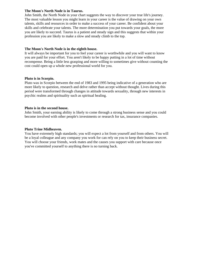#### **The Moon's North Node is in Taurus.**

John Smith, the North Node in your chart suggests the way to discover your true life's journey. The most valuable lesson you might learn in your career is the value of drawing on your own talents, skills and resources in order to make a success of your career. Be confident about your skills and celebrate your talents. The more determination you put towards your goals, the more you are likely to succeed. Taurus is a patient and steady sign and this suggests that within your profession you are likely to make a slow and steady climb to the top.

### **The Moon's North Node is in the eighth house.**

It will always be important for you to feel your career is worthwhile and you will want to know you are paid for your effort. You aren't likely to be happy putting in a lot of time without recompense. Being a little less grasping and more willing to sometimes give without counting the cost could open up a whole new professional world for you.

### **Pluto is in Scorpio.**

Pluto was in Scorpio between the end of 1983 and 1995 being indicative of a generation who are more likely to question, research and delve rather than accept without thought. Lives during this period were transformed through changes in attitude towards sexuality, through new interests in psychic realms and spirituality such as spiritual healing.

### **Pluto is in the second house.**

John Smith, your earning ability is likely to come through a strong business sense and you could become involved with other people's investments or research for tax, insurance companies.

#### **Pluto Trine Midheaven.**

You have extremely high standards; you will expect a lot from yourself and from others. You will be a loyal colleague and any company you work for can rely on you to keep their business secret. You will choose your friends, work mates and the causes you support with care because once you've committed yourself to anything there is no turning back.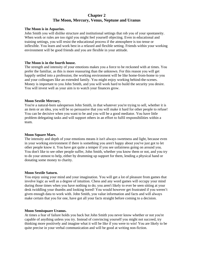# **Chapter 2 The Moon, Mercury, Venus, Neptune and Uranus**

#### **The Moon is in Aquarius.**

John Smith you will dislike structure and institutional settings that rob you of your spontaneity. When work or rules are too rigid you might feel yourself objecting. Even in educational and training settings, you will resist the educational process if the atmosphere is too tense or inflexible. You learn and work best in a relaxed and flexible setting. Friends within your working environment will be good friends and you are flexible in your attitude.

#### **The Moon is in the fourth house.**

The strength and intensity of your emotions makes you a force to be reckoned with at times. You prefer the familiar, as this is more reassuring than the unknown. For this reason you will get happily settled into a profession; the working environment will be like home-from-home to you and your colleagues like an extended family. You might enjoy working behind-the-scenes. Money is important to you John Smith, and you will work hard to build the security you desire. You will invest well as your aim is to watch your finances grow.

#### **Moon Sextile Mercury.**

You're a natural-born salesperson John Smith, in that whatever you're trying to sell, whether it is an item or an idea, you will be so persuasive that you will make it hard for other people to refuse! You can be decisive when you want to be and you will be a good mediator. You have little problem delegating tasks and will support others in an effort to fulfil responsibilities within a team.

#### **Moon Square Mars.**

The intensity and depth of your emotions means it isn't always sweetness and light, because even in your working environment if there is something you aren't happy about you've just got to let other people know it. You have got quite a temper if you see unfairness going on around you. You don't like to see other people suffer, John Smith, whether you know them or not, and you try to do your utmost to help, either by drumming up support for them, lending a physical hand or donating some money to charity.

#### **Moon Sextile Saturn.**

You enjoy using your mind and your imagination. You will get a lot of pleasure from games that involve logic as well as a degree of intuition. Chess and any word games will occupy your mind during those times when you have nothing to do; you aren't likely to ever be seen sitting at your desk twiddling your thumbs and looking bored! You would however get frustrated if you weren't given enough data to work with. John Smith, you value information and facts and will always make certain that you for one, have got all your facts straight before coming to a decision.

#### **Moon Semisquare Uranus.**

At times a fear of failure holds you back but John Smith you never know whether or not you're capable of anything unless you try. Instead of convincing yourself you might not succeed, try thinking more positively and imagine what it will be like if you were to win! You are likely to be quite precise in your verbal communication and will be good at writing non-fiction.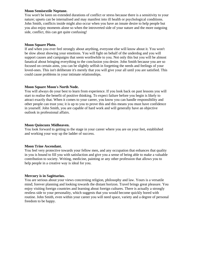#### **Moon Semisextile Neptune.**

You won't be keen on extended durations of conflict or stress because there is a sensitivity to your nature; upsets can be internalised and may manifest into ill health or psychological conditions. John Smith, conflicts inside might also occur when you have an innate desire to help people but you also enjoy moments alone so when the introverted side of your nature and the more outgoing side, conflict, this can get quite confusing!

### **Moon Square Pluto.**

If and when you ever feel strongly about anything, everyone else will know about it. You won't be slow about showing your emotions. You will fight on behalf of the underdog and you will support causes and campaigns that seem worthwhile to you. Not only this but you will be almost fanatical about bringing everything to the conclusion you desire. John Smith because you are so focused on certain aims, you can be slightly selfish in forgetting the needs and feelings of your loved-ones. This isn't deliberate it's merely that you will give your all until you are satisfied. This could cause problems in your intimate relationships.

### **Moon Square Moon's North Node.**

You will always do your best to learn from experience. If you look back on past lessons you will start to realise the benefit of positive thinking. To expect failure before you begin is likely to attract exactly that. When it comes to your career, you know you can handle responsibility and other people can trust you; it is up to you to prove this and this means you must have confidence in yourself. John Smith, you are capable of hard work and will generally have an objective outlook in professional affairs.

#### **Moon Quincunx Midheaven.**

You look forward to getting to the stage in your career where you are on your feet, established and working your way up the ladder of success.

#### **Moon Trine Ascendant.**

You feel very protective towards your fellow men, and any occupation that enhances that quality in you is bound to fill you with satisfaction and give you a sense of being able to make a valuable contribution to society. Writing, medicine, painting or any other profession that allows you to help people in a creative way is ideal for you.

### **Mercury is in Sagittarius.**

You are serious about your views concerning religion, philosophy and law. Yours is a versatile mind; forever planning and looking towards the distant horizon. Travel brings great pleasure. You enjoy visiting foreign countries and learning about foreign cultures. There is actually a strongly restless side to your personality, which suggests that you would become quickly bored with routine. John Smith, even within your career you will need space, variety and a degree of personal freedom to be happy.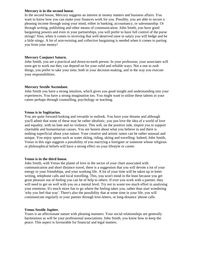#### **Mercury is in the second house.**

In the second house, Mercury suggests an interest in money matters and business affairs. You want to know how you can make your finances work for you. Possibly, you are able to secure a pleasing income through using your mind, either in banking, accountancy, or salesmanship. Or through writing, publishing and other means of communication. John Smith, you have good bargaining powers and even in your partnerships, you will prefer to have full control of the purse strings! Also, when it comes to receiving that well-deserved raise in salary you will hedge and be a little stingy. A lot of arm-twisting and collective bargaining is needed when it comes to parting you from your money!

#### **Mercury Conjunct Saturn.**

John Smith, you are a practical and down-to-earth person. In your profession, your associates will soon get to work out they can depend on for your solid and reliable ways. Not a one to rush things, you prefer to take your time, both in your decision-making, and in the way you execute your responsibilities.

#### **Mercury Sextile Ascendant.**

John Smith you have a strong intuition, which gives you good insight and understanding into your experiences. You have a strong imagination too. You might want to utilise these talents in your career perhaps through counselling, psychology or teaching.

#### **Venus is in Sagittarius.**

You are quite forward-looking and versatile in outlook. You have your dreams and although you'll admit that some of these may be rather idealistic, you just love the idea of a world of love and equality, with no hate and no violence. This will, on the positive side, inspire you to support charitable and humanitarian causes. You are honest about what you believe in and there is nothing superficial about your nature. Your creative and artistic tastes can be rather unusual and unique. You enjoy sports such as water skiing, riding, skiing and travelling. Indeed, John Smith, Venus in this sign suggests a possibility of you marrying a foreigner or someone whose religious or philosophical beliefs will have a strong effect on your lifestyle or career.

#### **Venus is in the third house.**

John Smith, with Venus the planet of love in the sector of your chart associated with communication and short distance travel, there is a suggestion that you will devote a lot of your energy to your friendships, and your working life. A lot of your time will be taken up in letter writing, telephone calls and local travelling. This, you won't mind in the least because you get great pleasure out of feeling you can be of help to others. If ever you work with a partner, they will need to get on well with you on a mental level. Try not to waste too much effort in analysing your emotions. It's much more fun to go where the feeling takes you, rather than start wondering 'why you feel that way'. There's also the possibility that at some time in your life, you will communicate regularly to your partner through love-letters, or long-distance 'phone calls.

### **Venus Sextile Jupiter.**

Yours is an affectionate nature with pleasing manners. Your social relationships are generally harmonious as will be your professional associations. John Smith, you know how to keep the peace. This aspect is favourable for financial and legal matters.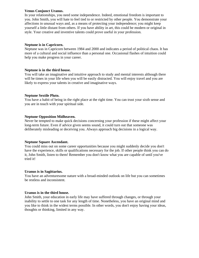### **Venus Conjunct Uranus.**

In your relationships, you need some independence. Indeed, emotional freedom is important to you. John Smith, you will hate to feel tied to or restricted by other people. You demonstrate your affections in unusual ways and, as a means of protecting your independence; you might keep yourself a little distant from others. If you have ability in art, this could be modern or original in style. Your creative and inventive talents could prove useful in your profession.

### **Neptune is in Capricorn.**

Neptune was in Capricorn between 1984 and 2000 and indicates a period of political chaos. It has more of a cultural and social influence than a personal one. Occasional flashes of intuition could help you make progress in your career.

### **Neptune is in the third house.**

You will take an imaginative and intuitive approach to study and mental interests although there will be times in your life when you will be easily distracted. You will enjoy travel and you are likely to express your talents in creative and imaginative ways.

### **Neptune Sextile Pluto.**

You have a habit of being in the right place at the right time. You can trust your sixth sense and you are in touch with your spiritual side.

### **Neptune Opposition Midheaven.**

Never be tempted to make quick decisions concerning your profession if these might affect your long-term future. Even if advice given seems sound, it could turn out that someone was deliberately misleading or deceiving you. Always approach big decisions in a logical way.

### **Neptune Square Ascendant.**

You could miss out on some career opportunities because you might suddenly decide you don't have the experience, skills or qualifications necessary for the job. If other people think you can do it, John Smith, listen to them! Remember you don't know what you are capable of until you've tried it!

#### **Uranus is in Sagittarius.**

You have an adventuresome nature with a broad-minded outlook on life but you can sometimes be restless and inconsistent.

#### **Uranus is in the third house.**

John Smith, your education in early life may have suffered through changes, or through your inability to settle to one task for any length of time. Nonetheless, you have an original mind and you like to think in the widest terms possible. In other words, you don't enjoy having your ideas, thoughts or thinking, limited in any way.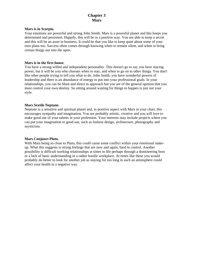# **Chapter 3 Mars**

#### **Mars is in Scorpio.**

Your emotions are powerful and strong John Smith. Mars is a powerful planet and this keeps you determined and persistent. Happily, this will be in a positive way. You are able to keep a secret and this will be an asset in business. It could be that you like to keep quiet about some of your own plans too. Success often comes through knowing when to remain silent, and when to bring certain things out into the open.

#### **Mars is in the first house.**

You have a strong-willed and independent personality. This doesn't go to say you have staying power, but it will be you who chooses when to stay, and when to go on to other things. You don't like other people trying to tell you what to do. John Smith, you have wonderful powers of leadership and there is an abundance of energy to put into your professional goals. In your relationships, you can be blunt and direct in approach but you are of the general opinion that you must control your own destiny. So sitting around waiting for things to happen is just not your style.

#### **Mars Sextile Neptune.**

Neptune is a sensitive and spiritual planet and, in positive aspect with Mars in your chart, this encourages sympathy and imagination. You are probably artistic, creative and you will love to make good use of your talents in your profession. Your interests may include projects where you can put your imagination to good use, such as fashion design, architecture, photography and mysticism.

#### **Mars Conjunct Pluto.**

With Mars being so close to Pluto, this could cause some conflict within your emotional makeup. What this suggests is strong feelings that are now and again, hard to control. Another possibility is difficult working relationships at times in life perhaps through a domineering boss or a lack of basic understanding in a rather hostile workplace. At times like these you would probably do better to look for another job as staying for too long in such an atmosphere could affect your health in a negative way.